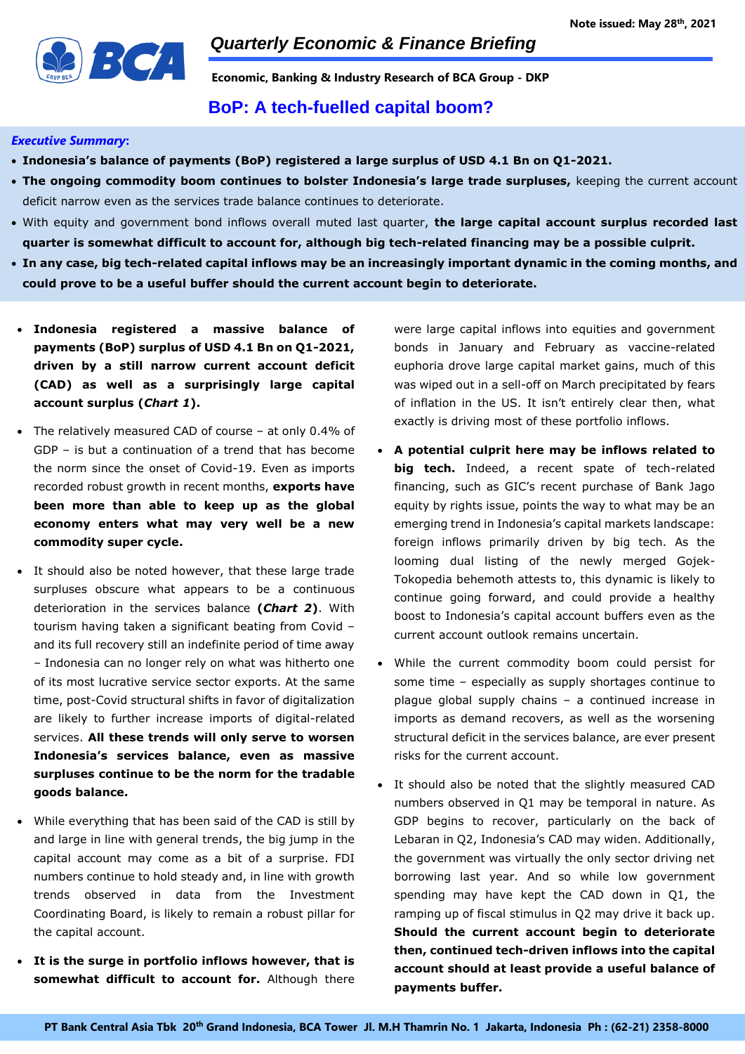

**Economic, Banking & Industry Research of BCA Group - DKP**

### **BoP: A tech-fuelled capital boom?**

#### *Executive Summary***:**

- **Indonesia's balance of payments (BoP) registered a large surplus of USD 4.1 Bn on Q1-2021.**
- **The ongoing commodity boom continues to bolster Indonesia's large trade surpluses,** keeping the current account deficit narrow even as the services trade balance continues to deteriorate.
- With equity and government bond inflows overall muted last quarter, **the large capital account surplus recorded last quarter is somewhat difficult to account for, although big tech-related financing may be a possible culprit.**
- **In any case, big tech-related capital inflows may be an increasingly important dynamic in the coming months, and could prove to be a useful buffer should the current account begin to deteriorate.**
- **Indonesia registered a massive balance of payments (BoP) surplus of USD 4.1 Bn on Q1-2021, driven by a still narrow current account deficit (CAD) as well as a surprisingly large capital account surplus (***Chart 1***).**
- The relatively measured CAD of course at only 0.4% of GDP – is but a continuation of a trend that has become the norm since the onset of Covid-19. Even as imports recorded robust growth in recent months, **exports have been more than able to keep up as the global economy enters what may very well be a new commodity super cycle.**
- It should also be noted however, that these large trade surpluses obscure what appears to be a continuous deterioration in the services balance **(***Chart 2***)**. With tourism having taken a significant beating from Covid – and its full recovery still an indefinite period of time away – Indonesia can no longer rely on what was hitherto one of its most lucrative service sector exports. At the same time, post-Covid structural shifts in favor of digitalization are likely to further increase imports of digital-related services. **All these trends will only serve to worsen Indonesia's services balance, even as massive surpluses continue to be the norm for the tradable goods balance.**
- While everything that has been said of the CAD is still by and large in line with general trends, the big jump in the capital account may come as a bit of a surprise. FDI numbers continue to hold steady and, in line with growth trends observed in data from the Investment Coordinating Board, is likely to remain a robust pillar for the capital account.
- **It is the surge in portfolio inflows however, that is somewhat difficult to account for.** Although there

were large capital inflows into equities and government bonds in January and February as vaccine-related euphoria drove large capital market gains, much of this was wiped out in a sell-off on March precipitated by fears of inflation in the US. It isn't entirely clear then, what exactly is driving most of these portfolio inflows.

- **A potential culprit here may be inflows related to big tech.** Indeed, a recent spate of tech-related financing, such as GIC's recent purchase of Bank Jago equity by rights issue, points the way to what may be an emerging trend in Indonesia's capital markets landscape: foreign inflows primarily driven by big tech. As the looming dual listing of the newly merged Gojek-Tokopedia behemoth attests to, this dynamic is likely to continue going forward, and could provide a healthy boost to Indonesia's capital account buffers even as the current account outlook remains uncertain.
- While the current commodity boom could persist for some time – especially as supply shortages continue to plague global supply chains – a continued increase in imports as demand recovers, as well as the worsening structural deficit in the services balance, are ever present risks for the current account.
- It should also be noted that the slightly measured CAD numbers observed in Q1 may be temporal in nature. As GDP begins to recover, particularly on the back of Lebaran in Q2, Indonesia's CAD may widen. Additionally, the government was virtually the only sector driving net borrowing last year. And so while low government spending may have kept the CAD down in Q1, the ramping up of fiscal stimulus in Q2 may drive it back up. **Should the current account begin to deteriorate then, continued tech-driven inflows into the capital account should at least provide a useful balance of payments buffer.**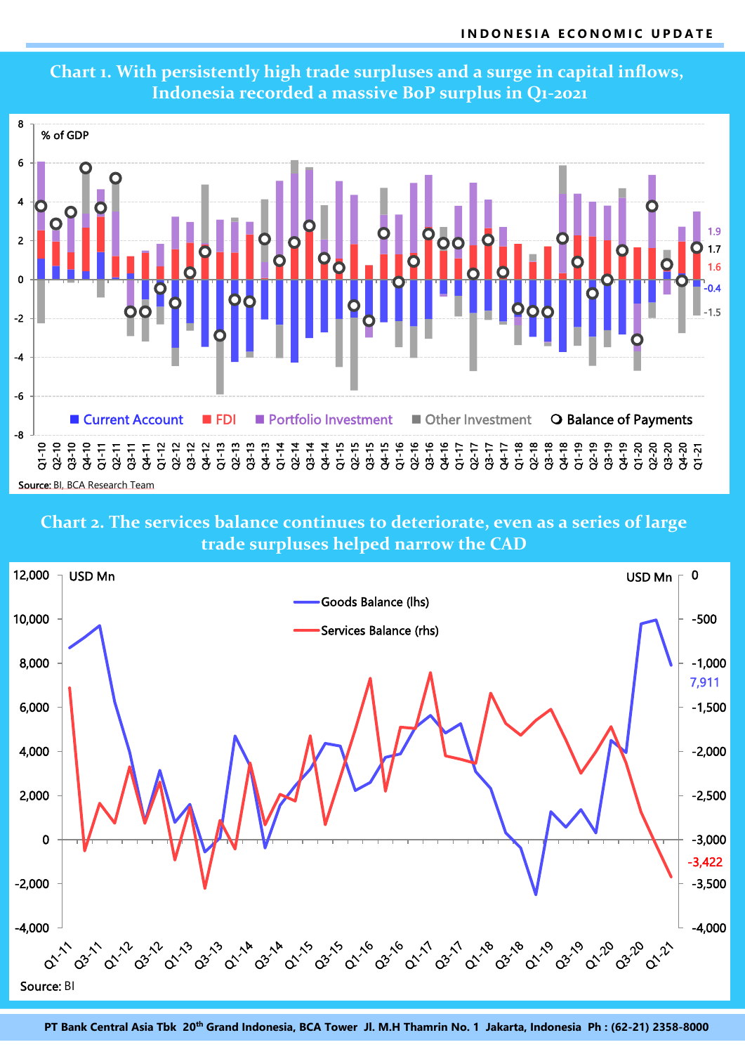

# **Chart 1. With persistently high trade surpluses and a surge in capital inflows, Indonesia recorded a massive BoP surplus in Q1-2021**

Source: BI, BCA Research Team

**Chart 2. The services balance continues to deteriorate, even as a series of large trade surpluses helped narrow the CAD**



**PT Bank Central Asia Tbk 20 th Grand Indonesia, BCA Tower Jl. M.H Thamrin No. 1 Jakarta, Indonesia Ph : (62-21) 2358-8000**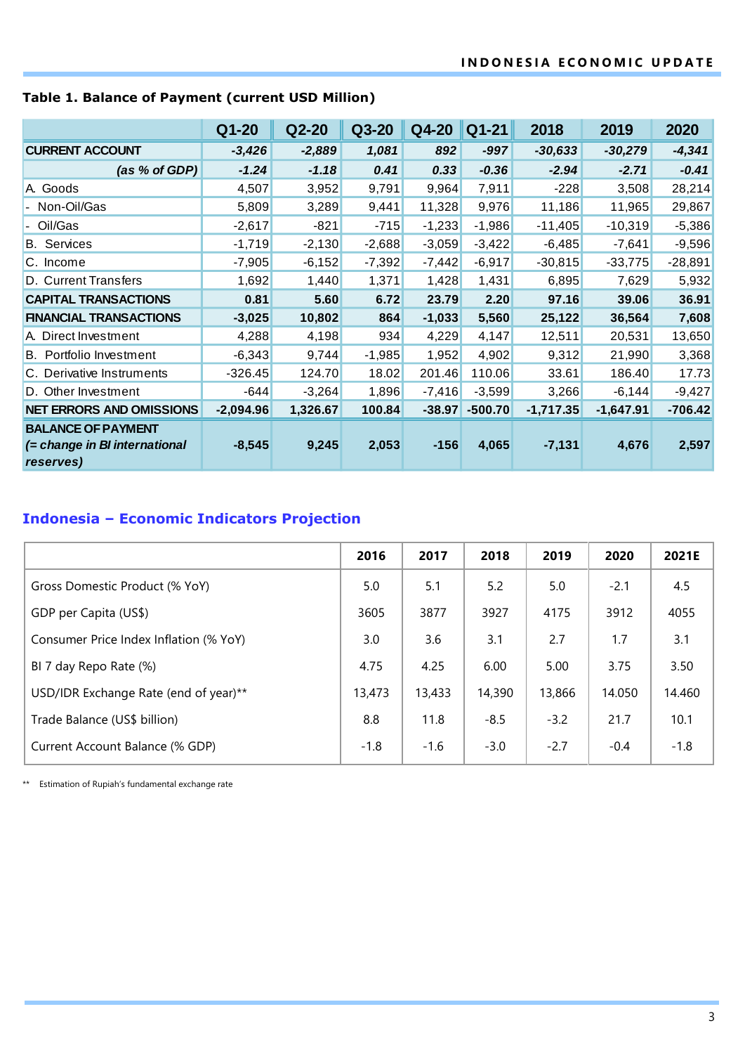|                                                                         | $Q1 - 20$   | $Q2-20$  | Q3-20    | Q4-20    | $Q1 - 21$ | 2018        | 2019        | 2020      |
|-------------------------------------------------------------------------|-------------|----------|----------|----------|-----------|-------------|-------------|-----------|
| <b>CURRENT ACCOUNT</b>                                                  | $-3,426$    | $-2,889$ | 1,081    | 892      | $-997$    | $-30,633$   | $-30,279$   | $-4,341$  |
| (as % of GDP)                                                           | $-1.24$     | $-1.18$  | 0.41     | 0.33     | $-0.36$   | $-2.94$     | $-2.71$     | $-0.41$   |
| A. Goods                                                                | 4,507       | 3,952    | 9,791    | 9,964    | 7,911     | $-228$      | 3,508       | 28,214    |
| - Non-Oil/Gas                                                           | 5,809       | 3,289    | 9,441    | 11,328   | 9,976     | 11,186      | 11,965      | 29,867    |
| Oil/Gas                                                                 | $-2,617$    | $-821$   | $-715$   | $-1,233$ | $-1,986$  | $-11,405$   | $-10,319$   | $-5,386$  |
| <b>B.</b> Services                                                      | $-1,719$    | $-2,130$ | $-2,688$ | $-3,059$ | $-3,422$  | $-6,485$    | $-7,641$    | $-9,596$  |
| C. Income                                                               | $-7,905$    | $-6,152$ | $-7,392$ | $-7,442$ | $-6,917$  | $-30,815$   | $-33,775$   | $-28,891$ |
| D. Current Transfers                                                    | 1,692       | 1,440    | 1,371    | 1,428    | 1,431     | 6,895       | 7,629       | 5,932     |
| <b>CAPITAL TRANSACTIONS</b>                                             | 0.81        | 5.60     | 6.72     | 23.79    | 2.20      | 97.16       | 39.06       | 36.91     |
| <b>FINANCIAL TRANSACTIONS</b>                                           | $-3,025$    | 10,802   | 864      | $-1,033$ | 5,560     | 25,122      | 36,564      | 7,608     |
| A. Direct Investment                                                    | 4,288       | 4,198    | 934      | 4,229    | 4,147     | 12,511      | 20,531      | 13,650    |
| <b>B.</b> Portfolio Investment                                          | $-6,343$    | 9,744    | $-1,985$ | 1,952    | 4,902     | 9,312       | 21,990      | 3,368     |
| C. Derivative Instruments                                               | $-326.45$   | 124.70   | 18.02    | 201.46   | 110.06    | 33.61       | 186.40      | 17.73     |
| D. Other Investment                                                     | $-644$      | $-3,264$ | 1,896    | $-7,416$ | $-3,599$  | 3,266       | $-6,144$    | $-9,427$  |
| <b>NET ERRORS AND OMISSIONS</b>                                         | $-2,094.96$ | 1,326.67 | 100.84   | $-38.97$ | $-500.70$ | $-1,717.35$ | $-1,647.91$ | $-706.42$ |
| <b>BALANCE OF PAYMENT</b><br>(= change in BI international<br>reserves) | $-8,545$    | 9,245    | 2,053    | $-156$   | 4,065     | $-7,131$    | 4,676       | 2,597     |

## **Table 1. Balance of Payment (current USD Million)**

# **Indonesia – Economic Indicators Projection**

|                                        | 2016   | 2017   | 2018   | 2019   | 2020   | 2021E  |
|----------------------------------------|--------|--------|--------|--------|--------|--------|
| Gross Domestic Product (% YoY)         | 5.0    | 5.1    | 5.2    | 5.0    | $-2.1$ | 4.5    |
| GDP per Capita (US\$)                  | 3605   | 3877   | 3927   | 4175   | 3912   | 4055   |
| Consumer Price Index Inflation (% YoY) | 3.0    | 3.6    | 3.1    | 2.7    | 1.7    | 3.1    |
| BI 7 day Repo Rate (%)                 | 4.75   | 4.25   | 6.00   | 5.00   | 3.75   | 3.50   |
| USD/IDR Exchange Rate (end of year)**  | 13,473 | 13,433 | 14,390 | 13,866 | 14.050 | 14.460 |
| Trade Balance (US\$ billion)           | 8.8    | 11.8   | $-8.5$ | $-3.2$ | 21.7   | 10.1   |
| Current Account Balance (% GDP)        | $-1.8$ | $-1.6$ | $-3.0$ | $-2.7$ | $-0.4$ | $-1.8$ |

\*\* Estimation of Rupiah's fundamental exchange rate